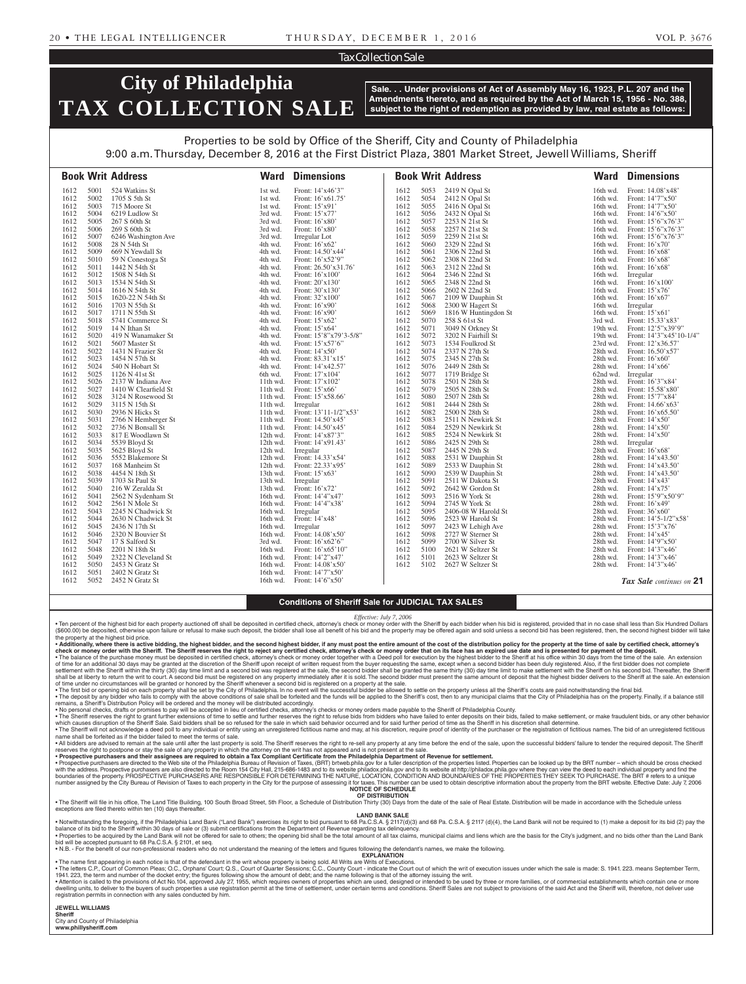#### Tax Collection Sale

# **City of Philadelphia TAX COLLECTION SALE**

**Sale. . . Under provisions of Act of Assembly May 16, 1923, P.L. 207 and the Amendments thereto, and as required by the Act of March 15, 1956 - No. 388, subject to the right of redemption as provided by law, real estate as follows:**

### Properties to be sold by Office of the Sheriff, City and County of Philadelphia

9:00 a.m. Thursday, December 8, 2016 at the First District Plaza, 3801 Market Street, Jewell Williams, Sheriff

|              |              | <b>Book Writ Address</b>               | <b>Ward</b>            | <b>Dimensions</b>                          |              |              | <b>Book Writ Address</b>            | Ward                 | <b>Dimensions</b>                        |
|--------------|--------------|----------------------------------------|------------------------|--------------------------------------------|--------------|--------------|-------------------------------------|----------------------|------------------------------------------|
| 1612         | 5001         | 524 Watkins St                         | 1st wd.                | Front: 14'x46'3"                           | 1612         | 5053         | 2419 N Opal St                      | 16th wd.             | Front: 14.08'x48'                        |
| 1612         | 5002         | 1705 S 5th St                          | 1st wd.                | Front: 16'x61.75'                          | 1612         | 5054         | 2412 N Opal St                      | 16th wd.             | Front: 14'7"x50'                         |
| 1612         | 5003         | 715 Moore St                           | 1st wd.                | Front: 15'x91'                             | 1612         | 5055         | 2416 N Opal St                      | 16th wd.             | Front: 14'7"x50'                         |
| 1612         | 5004         | 6219 Ludlow St                         | 3rd wd.                | Front: 15'x77'                             | 1612         | 5056         | 2432 N Opal St                      | 16th wd.             | Front: 14'6"x50"                         |
| 1612<br>1612 | 5005<br>5006 | 267 S 60th St                          | 3rd wd.                | Front: $16'$ x 80'                         | 1612<br>1612 | 5057<br>5058 | 2253 N 21st St                      | 16th wd.             | Front: 15'6"x76'3"                       |
| 1612         | 5007         | 269 S 60th St<br>6246 Washington Ave   | 3rd wd.<br>3rd wd.     | Front: 16'x80'                             | 1612         | 5059         | 2257 N 21st St<br>2259 N 21st St    | 16th wd.<br>16th wd. | Front: 15'6"x76'3"<br>Front: 15'6"x76'3" |
| 1612         | 5008         | 28 N 54th St                           | 4th wd.                | Irregular Lot<br>Front: 16'x62'            | 1612         | 5060         | 2329 N 22nd St                      | 16th wd.             | Front: 16'x70'                           |
| 1612         | 5009         | 669 N Yewdall St                       | 4th wd.                | Front: 14.50'x44'                          | 1612         | 5061         | 2306 N 22nd St                      | 16th wd.             | Front: $16'x68'$                         |
| 1612         | 5010         | 59 N Conestoga St                      | 4th wd.                | Front: $16'$ x52'9"                        | 1612         | 5062         | 2308 N 22nd St                      | 16th wd.             | Front: $16'x68'$                         |
| 1612         | 5011         | 1442 N 54th St                         | 4th wd.                | Front: 26.50'x31.76'                       | 1612         | 5063         | 2312 N 22nd St                      | 16th wd.             | Front: 16'x68'                           |
| 1612         | 5012         | 1508 N 54th St                         | 4th wd.                | Front: $16'x100'$                          | 1612         | 5064         | 2346 N 22nd St                      | 16th wd.             | Irregular                                |
| 1612         | 5013         | 1534 N 54th St                         | 4th wd.                | Front: $20'x130'$                          | 1612         | 5065         | 2348 N 22nd St                      | 16th wd.             | Front: 16'x100'                          |
| 1612         | 5014         | 1616 N 54th St                         | 4th wd.                | Front: 30'x130'                            | 1612         | 5066         | 2602 N 22nd St                      | 16th wd.             | Front: $15'x76'$                         |
| 1612         | 5015         | 1620-22 N 54th St                      | 4th wd.                | Front: 32'x100'                            | 1612         | 5067         | 2109 W Dauphin St                   | 16th wd.             | Front: 16'x67'                           |
| 1612         | 5016         | 1703 N 55th St                         | 4th wd.                | Front: $16'$ x90'                          | 1612         | 5068         | 2300 W Hagert St                    | 16th wd.             | Irregular                                |
| 1612         | 5017         | 1711 N 55th St                         | 4th wd.                | Front: $16'$ x90'                          | 1612         | 5069         | 1816 W Huntingdon St                | 16th wd.             | Front: 15'x61                            |
| 1612         | 5018         | 5741 Commerce St                       | 4th wd.                | Front: $15'x62'$                           | 1612         | 5070         | 258 S 61st St                       | 3rd wd.              | Front: 15.33'x83'                        |
| 1612         | 5019         | 14 N Ithan St                          | 4th wd.                | Front: $15'x64'$                           | 1612         | 5071         | 3049 N Orkney St                    | 19th wd.             | Front: 12'5"x39'9"                       |
| 1612         | 5020         | 419 N Wanamaker St                     | 4th wd.                | Front: 15'8"x79'3-5/8"                     | 1612         | 5072         | 3202 N Fairhill St                  | 19th wd.             | Front: 14'3"x45'10-1/4"                  |
| 1612         | 5021         | 5607 Master St                         | 4th wd.                | Front: $15'x57'6''$                        | 1612         | 5073         | 1534 Foulkrod St                    | 23rd wd.             | Front: 12'x36.57'                        |
| 1612         | 5022         | 1431 N Frazier St                      | 4th wd.                | Front: $14'x50'$                           | 1612         | 5074         | 2337 N 27th St                      | 28th wd.             | Front: 16.50'x57'                        |
| 1612         | 5023         | 1454 N 57th St                         | 4th wd.                | Front: 83.31'x15'                          | 1612         | 5075         | 2345 N 27th St                      | 28th wd.             | Front: $16'x60'$                         |
| 1612         | 5024         | 540 N Hobart St                        | 4th wd.                | Front: 14'x42.57'                          | 1612         | 5076         | 2449 N 28th St                      | 28th wd.             | Front: $14'x66'$                         |
| 1612         | 5025         | 1126 N 41st St                         | 6th wd.                | Front: 17'x104'                            | 1612         | 5077         | 1719 Bridge St                      | 62nd wd.             | Irregular                                |
| 1612         | 5026         | 2137 W Indiana Ave                     | 11th wd.               | Front: 17'x102'                            | 1612         | 5078         | 2501 N 28th St                      | 28th wd.             | Front: 16'3"x84'                         |
| 1612         | 5027         | 1410 W Clearfield St                   | $11th$ wd.             | Front: $15'x66'$                           | 1612         | 5079         | 2505 N 28th St                      | 28th wd.             | Front: 15.58'x80'                        |
| 1612         | 5028         | 3124 N Rosewood St                     | 11th wd.               | Front: 15'x58.66'                          | 1612         | 5080         | 2507 N 28th St                      | 28th wd.             | Front: 15'7"x84'                         |
| 1612<br>1612 | 5029<br>5030 | 3115 N 15th St                         | 11th wd.<br>$11th$ wd. | Irregular                                  | 1612<br>1612 | 5081         | 2444 N 28th St                      | 28th wd.<br>28th wd. | Front: 14.66'x63'                        |
| 1612         | 5031         | 2936 N Hicks St<br>2766 N Hemberger St | 11th wd.               | Front: 13'11-1/2"x53'<br>Front: 14.50'x45' | 1612         | 5082<br>5083 | 2500 N 28th St<br>2511 N Newkirk St | 28th wd.             | Front: 16'x65.50'<br>Front: $14'x50'$    |
| 1612         | 5032         | 2736 N Bonsall St                      | 11th wd.               | Front: 14.50'x45'                          | 1612         | 5084         | 2529 N Newkirk St                   | 28th wd.             | Front: $14'x50'$                         |
| 1612         | 5033         | 817 E Woodlawn St                      | 12th wd.               | Front: 14'x87'3"                           | 1612         | 5085         | 2524 N Newkirk St                   | 28th wd.             | Front: 14'x50'                           |
| 1612         | 5034         | 5539 Bloyd St                          | 12th wd.               | Front: 14'x91.43'                          | 1612         | 5086         | 2425 N 29th St                      | 28th wd.             | Irregular                                |
| 1612         | 5035         | 5625 Bloyd St                          | 12th wd.               | Irregular                                  | 1612         | 5087         | 2445 N 29th St                      | 28th wd.             | Front: 16'x68'                           |
| 1612         | 5036         | 5552 Blakemore St                      | 12th wd.               | Front: 14.33'x54'                          | 1612         | 5088         | 2531 W Dauphin St                   | 28th wd.             | Front: 14'x43.50'                        |
| 1612         | 5037         | 168 Manheim St                         | 12th wd.               | Front: 22.33'x95'                          | 1612         | 5089         | 2533 W Dauphin St                   | 28th wd.             | Front: 14'x43.50'                        |
| 1612         | 5038         | 4454 N 18th St                         | 13th wd.               | Front: $15'x63'$                           | 1612         | 5090         | 2539 W Dauphin St                   | 28th wd.             | Front: 14'x43.50'                        |
| 1612         | 5039         | 1703 St Paul St                        | 13th wd.               | Irregular                                  | 1612         | 5091         | 2511 W Dakota St                    | 28th wd.             | Front: 14'x43'                           |
| 1612         | 5040         | 216 W Zeralda St                       | 13th wd.               | Front: $16'x72'$                           | 1612         | 5092         | 2642 W Gordon St                    | 28th wd.             | Front: 14'x75'                           |
| 1612         | 5041         | 2562 N Sydenham St                     | 16th wd.               | Front: 14'4"x47"                           | 1612         | 5093         | 2516 W York St                      | 28th wd.             | Front: 15'9"x50'9"                       |
| 1612         | 5042         | 2561 N Mole St                         | 16th wd.               | Front: 14'4"x38'                           | 1612         | 5094         | 2745 W York St                      | 28th wd.             | Front: $16'x49'$                         |
| 1612         | 5043         | 2245 N Chadwick St                     | 16th wd.               | Irregular                                  | 1612         | 5095         | 2406-08 W Harold St                 | 28th wd.             | Front: 36'x60'                           |
| 1612         | 5044         | 2630 N Chadwick St                     | 16th wd.               | Front: $14'x48'$                           | 1612         | 5096         | 2523 W Harold St                    | 28th wd.             | Front: 14'5-1/2"x58'                     |
| 1612         | 5045         | 2436 N 17th St                         | 16th wd.               | Irregular                                  | 1612         | 5097         | 2423 W Lehigh Ave                   | 28th wd.             | Front: 15'3"x76'                         |
| 1612         | 5046         | 2320 N Bouvier St                      | 16th wd.               | Front: 14.08'x50'                          | 1612         | 5098         | 2727 W Sterner St                   | 28th wd.             | Front: $14'x45'$                         |
| 1612         | 5047         | 17 S Salford St                        | 3rd wd.                | Front: 16'x62'6"                           | 1612         | 5099         | 2700 W Silver St                    | 28th wd.             | Front: 14'9"x50"                         |
| 1612         | 5048         | 2201 N 18th St                         | 16th wd.               | Front: $16'x65'10''$                       | 1612         | 5100         | 2621 W Seltzer St                   | 28th wd.             | Front: 14'3"x46'                         |
| 1612         | 5049         | 2322 N Cleveland St                    | 16th wd.               | Front: 14'2"x47'                           | 1612         | 5101         | 2623 W Seltzer St                   | 28th wd.             | Front: 14'3"x46"                         |
| 1612         | 5050         | 2453 N Gratz St                        | 16th wd.               | Front: $14.08'x50'$                        | 1612         | 5102         | 2627 W Seltzer St                   | 28th wd.             | Front: 14'3"x46"                         |
| 1612<br>1612 | 5051<br>5052 | 2402 N Gratz St<br>2452 N Gratz St     | 16th wd.<br>16th wd.   | Front: 14'7"x50'<br>Front: $14'6''x50'$    |              |              |                                     |                      |                                          |
|              |              |                                        |                        |                                            |              |              |                                     |                      | <b>Tax Sale</b> continues on 21          |

#### **Conditions of Sheriff Sale for JUDICIAL TAX SALES**

*Effective: July 7, 2006*

• Ten percent of the highest bid for each property auctioned off shall be deposited in certified check, attorney's check or money order with the Sheriff by each bidder when his bid is registered, provided that in no case s the property at the highest bid price.

• Additionally, where there is active bidding, the highest bidder, and the second highest bidder, if any must post the entire amount of the cost of the distribution policy for the property at the time of sale by certified

shall be at liberty to return the writ to court. A second bid must be registered on any property immediately after it is sold. The second bidder must present the same amount of deposit that the highest bidder delivers to t • The first bid or opening bid on each property shall be set by the City of Philadelphia. In no event will the successful bidder be allowed to settle on the property unless all the Sheriff's costs are paid not withstanding

remains, a Sheriff's Distribution Policy will be ordered and the money will be distributed accordingly.<br>• No personal checks, drament of the secepted in lieu of certical on the secepted in lieu of certified checks, attorn

which causes disruption of the Sheriff Sale. Said bidders shall be so refused for the sale in which said behavior occurred and for said further period of time as the Sheriff in his discretion shall determine.<br>• The Sheriff name shall be forfeited as if the bidder failed to meet the terms of sale.

• All bidders are advised to remain at the sale until after the last property is sold. The Sheriff reserves the right to re-sell any property at any time before the end of the sale, upon the successful bidders' failure to

• Prospective purchasers and their assignees are required to obtain a Tax Compliant Certificate from the Philadelphia Department of Revenue for settlement.<br>• Prospective purchasers are directed to the Rolland the Rolland t which a conserve the property. PROSPECTIVE PURCHASERS ARE RESPONSIBLE FOR DETERMINING THE NATURE, LOCATION, CONDITION AND BOUNDARIES OF THE PROPERTIES THEY SEEK TO PURCHASE. The BRT # refers to a unique number assigned by the City Bureau of Revision of Taxes to each property in the City for the purpose of assessing it for taxes. This number can be used to obtain descriptive information about the property from the BRT webs **NOTICE OF SCHEDULE**

**OF DISTRIBUTION** • The Sheriff will file in his office, The Land Title Building, 100 South Broad Street, 5th Floor, a Schedule of Distribution Thirty (30) Days from the date of the sale of Real Estate. Distribution will be made in accordan

**LAND BANK SALE**

foregoing, if the Philadelphia Land Bank ("Land Bank") exercises its right to bid pursuant to 68 Pa.C.S.A. § 2117(d)(3) and 68 Pa.C.S.A. § 2117 (d)(4), the Land Bank will not be required to (1) make a deposit for its bid ( balance of its bid to the Sheriff within 30 days of sale or (3) submit certifications from the Department of Revenue regarding tax delinquency. . Properties to be acquired by the Land Bank will not be offered for sale to others; the opening bid shall be the total amount of all tax claims, municipal claims and liens which are the basis for the City's judgment, and bid will be accepted pursuant to 68 Pa.C.S.A. § 2101, et seq.

• N.B. - For the benefit of our non-professional readers who do not understand the meaning of the letters and figures following the defendant's names, we make the following.

**EXPLANATION** 

• The name first appearing in each notice is that of the defendant in the writ whose property is being sold. All Writs are Writs of Executions.<br>• The letters C.P., Court of Common Pleas to a state in the state of the figur

• Attention is called to the provisions of Act No.104, approved July 27, 1955, which requires owners of properties which are used, designed or intended to be used by three or more families, or of commercial establishments registration permits in connection with any sales conducted by him.

**JEWELL WILLIAMS Sheriff** 

City and County of Philadelphia **www.phillysheriff.com**